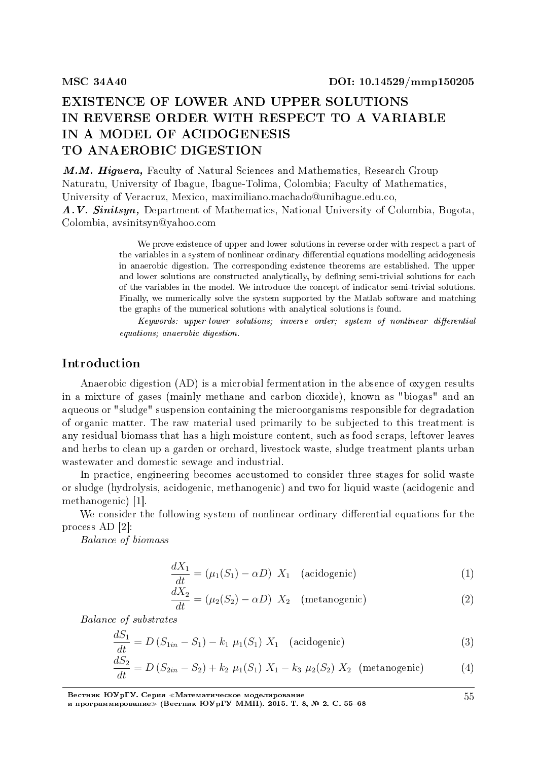# EXISTENCE OF LOWER AND UPPER SOLUTIONS IN REVERSE ORDER WITH RESPECT TO A VARIABLE IN A MODEL OF ACIDOGENESIS TO ANAEROBIC DIGESTION

M.M. Higuera, Faculty of Natural Sciences and Mathematics, Research Group Naturatu, University of Ibague, Ibague-Tolima, Colombia; Faculty of Mathematics, University of Veracruz, Mexico, maximiliano.machado@unibague.edu.co, A.V. Sinitsyn, Department of Mathematics, National University of Colombia, Bogota,

Colombia, avsinitsyn@yahoo.com

We prove existence of upper and lower solutions in reverse order with respect a part of the variables in a system of nonlinear ordinary differential equations modelling acidogenesis in anaerobic digestion. The corresponding existence theorems are established. The upper and lower solutions are constructed analytically, by defining semi-trivial solutions for each of the variables in the model. We introduce the concept of indicator semi-trivial solutions. Finally, we numerically solve the system supported by the Matlab software and matching the graphs of the numerical solutions with analytical solutions is found.

 $Keywords: upper-lower~ solutions; inverse order; system of nonlinear differential$ equations; anaerobic digestion.

# Introduction

Anaerobic digestion (AD) is a microbial fermentation in the absence of oxygen results in a mixture of gases (mainly methane and carbon dioxide), known as "biogas" and an aqueous or "sludge" suspension containing the microorganisms responsible for degradation of organic matter. The raw material used primarily to be subjected to this treatment is any residual biomass that has a high moisture content, such as food scraps, leftover leaves and herbs to clean up a garden or orchard, livestock waste, sludge treatment plants urban wastewater and domestic sewage and industrial.

In practice, engineering becomes accustomed to consider three stages for solid waste or sludge (hydrolysis, acidogenic, methanogenic) and two for liquid waste (acidogenic and methanogenic) [1].

We consider the following system of nonlinear ordinary differential equations for the process AD [2]:

Balance of biomass

$$
\frac{dX_1}{dt} = (\mu_1(S_1) - \alpha D) X_1 \quad \text{(acidogenic)} \tag{1}
$$

$$
\frac{dX_2}{dt} = (\mu_2(S_2) - \alpha D) X_2 \quad \text{(metanogenic)} \tag{2}
$$

Balance of substrates

$$
\frac{dS_1}{dt} = D(S_{1in} - S_1) - k_1 \mu_1(S_1) X_1 \quad \text{(acidegenic)} \tag{3}
$$

$$
\frac{dS_2}{dt} = D(S_{2in} - S_2) + k_2 \mu_1(S_1) X_1 - k_3 \mu_2(S_2) X_2 \quad \text{(metanogenic)} \tag{4}
$$

Вестник ЮУрГУ. Серия «Математическое моделирование и программирование≫ (Вестник ЮУрГУ ММП). 2015. T. 8, № 2. C. 55–68

55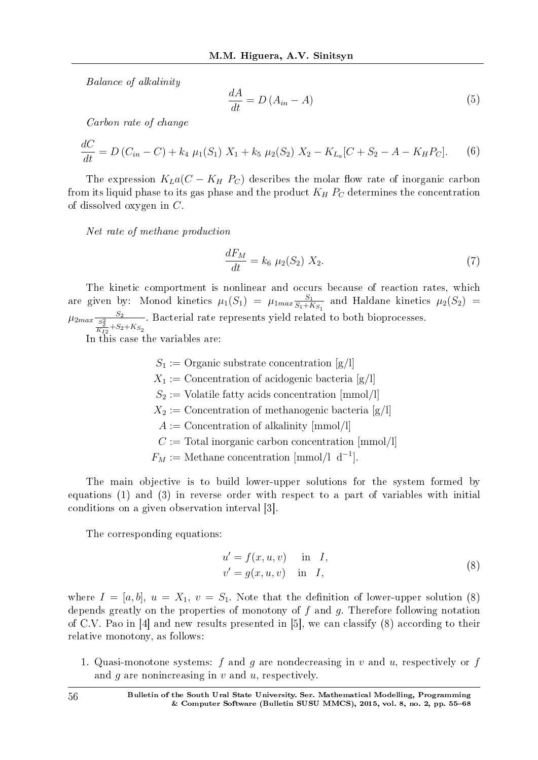Balance of alkalinity

$$
\frac{dA}{dt} = D(A_{in} - A) \tag{5}
$$

Carbon rate of change

$$
\frac{dC}{dt} = D(C_{in} - C) + k_4 \mu_1(S_1) \ X_1 + k_5 \mu_2(S_2) \ X_2 - K_{L_a}[C + S_2 - A - K_H P_C]. \tag{6}
$$

The expression  $K_{\text{L}}a(C - K_{\text{H}}P_{\text{C}})$  describes the molar flow rate of inorganic carbon from its liquid phase to its gas phase and the product  $K_H P_C$  determines the concentration of dissolved oxygen in *C*.

Net rate of methane production

$$
\frac{dF_M}{dt} = k_6 \mu_2(S_2) X_2.
$$
\n(7)

The kinetic comportment is nonlinear and occurs because of reaction rates, which are given by: Monod kinetics  $\mu_1(S_1) = \mu_1_{max} \frac{S_1}{S_1 + P}$  $\frac{S_1}{S_1+K_{S_1}}$  and Haldane kinetics  $\mu_2(S_2)$  =  $\frac{S_2}{\frac{S_2^2}{K_{I2}}+S_2+K_{S_2}}$ . Bacterial rate represents yield related to both bioprocesses.

In this case the variables are:

 $S_1$  := Organic substrate concentration [g/l]  $X_1$  := Concentration of acidogenic bacteria [g/l]  $S_2$  := Volatile fatty acids concentration  $\text{[mmol/l]}$  $X_2$  := Concentration of methanogenic bacteria [g/l] *A* := Concentration of alkalinity [mmol*/*l] *C* := Total inorganic carbon concentration [mmol*/*l]  $F_M := \text{Method} \text{A}^{-1}$ .

The main objective is to build lower-upper solutions for the system formed by equations (1) and (3) in reverse order with respect to a part of variables with initial conditions on a given observation interval [3].

The corresponding equations:

$$
u' = f(x, u, v) \quad \text{in} \quad I,
$$
  
\n
$$
v' = g(x, u, v) \quad \text{in} \quad I,
$$
\n(8)

where  $I = [a, b], u = X_1, v = S_1$ . Note that the definition of lower-upper solution (8) depends greatly on the properties of monotony of *f* and *g*. Therefore following notation of C.V. Pao in [4] and new results presented in [5], we can classify (8) according to their relative monotony, as follows:

1. Quasi-monotone systems: *f* and *g* are nondecreasing in *v* and *u*, respectively or *f* and *g* are nonincreasing in *v* and *u*, respectively.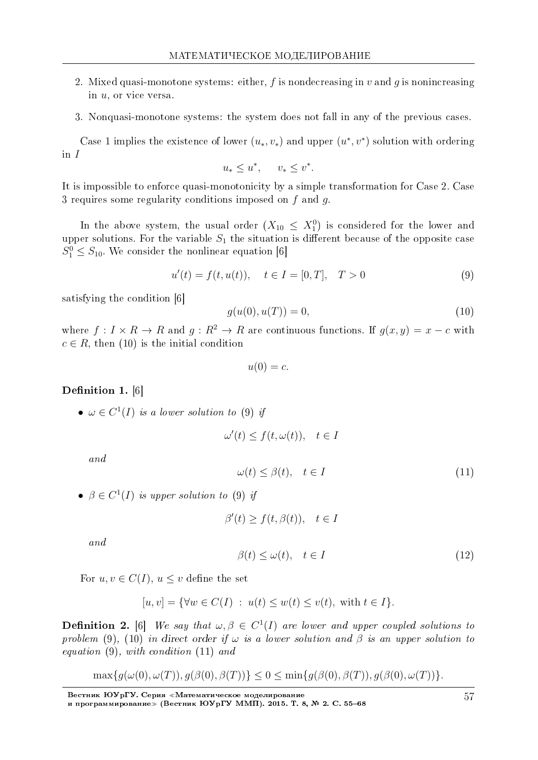- 2. Mixed quasi-monotone systems: either,  $f$  is nondecreasing in  $v$  and  $q$  is nonincreasing in *u*, or vice versa.
- 3. Nonquasi-monotone systems: the system does not fall in any of the previous cases.

Case 1 implies the existence of lower  $(u_*, v_*)$  and upper  $(u^*, v^*)$  solution with ordering in *I*

 $u_* \leq u^*, \quad v_* \leq v^*.$ 

It is impossible to enforce quasi-monotonicity by a simple transformation for Case 2. Case 3 requires some regularity conditions imposed on *f* and *g*.

In the above system, the usual order  $(X_{10} \leq X_1^0)$  is considered for the lower and upper solutions. For the variable  $S_1$  the situation is different because of the opposite case  $S_1^0 \leq S_{10}$ . We consider the nonlinear equation [6]

$$
u'(t) = f(t, u(t)), \quad t \in I = [0, T], \quad T > 0
$$
\n(9)

satisfying the condition [6]

$$
g(u(0), u(T)) = 0,\t(10)
$$

where  $f: I \times R \to R$  and  $q: R^2 \to R$  are continuous functions. If  $q(x, y) = x - c$  with  $c \in R$ , then (10) is the initial condition

$$
u(0) = c.
$$

### Definition 1. [6]

•  $\omega \in C^1(I)$  is a lower solution to (9) if

$$
\omega'(t) \le f(t, \omega(t)), \quad t \in I
$$

and

$$
\omega(t) \le \beta(t), \quad t \in I \tag{11}
$$

•  $\beta \in C^1(I)$  is upper solution to (9) if

$$
\beta'(t) \ge f(t, \beta(t)), \quad t \in I
$$

and

$$
\beta(t) \le \omega(t), \quad t \in I \tag{12}
$$

For  $u, v \in C(I)$ ,  $u \leq v$  define the set

$$
[u, v] = \{ \forall w \in C(I) : u(t) \le w(t) \le v(t), \text{ with } t \in I \}.
$$

**Definition 2.** [6] We say that  $\omega, \beta \in C^1(I)$  are lower and upper coupled solutions to problem (9), (10) in direct order if  $\omega$  is a lower solution and  $\beta$  is an upper solution to equation (9), with condition (11) and

$$
\max\{g(\omega(0), \omega(T)), g(\beta(0), \beta(T))\} \le 0 \le \min\{g(\beta(0), \beta(T)), g(\beta(0), \omega(T))\}.
$$

Вестник ЮУрГУ. Серия «Математическое моделирование и программирование≫ (Вестник ЮУрГУ ММП). 2015. T. 8, № 2. C. 55–68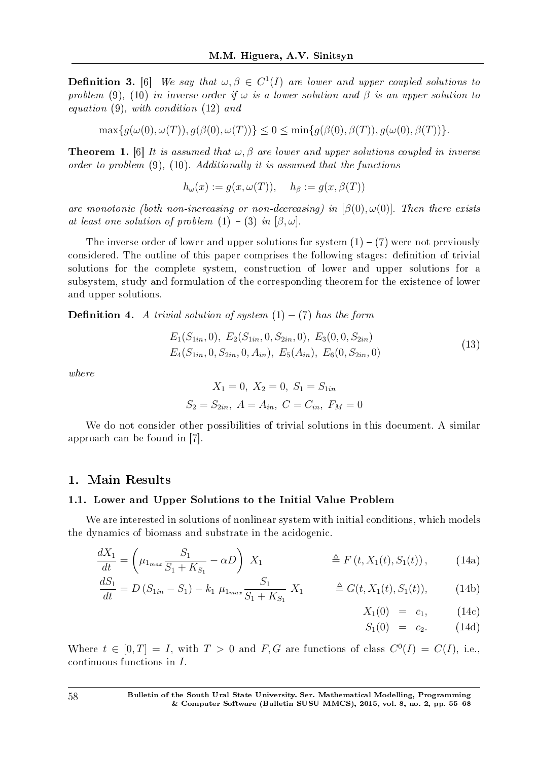**Definition 3.** [6] We say that  $\omega, \beta \in C^1(I)$  are lower and upper coupled solutions to problem (9), (10) in inverse order if  $\omega$  is a lower solution and  $\beta$  is an upper solution to equation (9), with condition (12) and

 $\max\{q(\omega(0), \omega(T)), q(\beta(0), \omega(T))\} < 0 < \min\{q(\beta(0), \beta(T)), q(\omega(0), \beta(T))\}.$ 

**Theorem 1.** [6] It is assumed that  $\omega$ ,  $\beta$  are lower and upper solutions coupled in inverse order to problem (9), (10). Additionally it is assumed that the functions

 $h_{\omega}(x) := q(x, \omega(T)), \quad h_{\beta} := q(x, \beta(T))$ 

are monotonic (both non-increasing or non-decreasing) in [*β*(0)*, ω*(0)]. Then there exists at least one solution of problem  $(1) - (3)$  in  $[\beta, \omega]$ .

The inverse order of lower and upper solutions for system  $(1) - (7)$  were not previously considered. The outline of this paper comprises the following stages: definition of trivial solutions for the complete system, construction of lower and upper solutions for a subsystem, study and formulation of the corresponding theorem for the existence of lower and upper solutions.

**Definition 4.** A trivial solution of system  $(1) - (7)$  has the form

$$
E_1(S_{1in}, 0), E_2(S_{1in}, 0, S_{2in}, 0), E_3(0, 0, S_{2in})
$$
  
\n
$$
E_4(S_{1in}, 0, S_{2in}, 0, A_{in}), E_5(A_{in}), E_6(0, S_{2in}, 0)
$$
\n(13)

where

$$
X_1 = 0
$$
,  $X_2 = 0$ ,  $S_1 = S_{1in}$   
 $S_2 = S_{2in}$ ,  $A = A_{in}$ ,  $C = C_{in}$ ,  $F_M = 0$ 

We do not consider other possibilities of trivial solutions in this document. A similar approach can be found in [7].

## 1. Main Results

## 1.1. Lower and Upper Solutions to the Initial Value Problem

We are interested in solutions of nonlinear system with initial conditions, which models the dynamics of biomass and substrate in the acidogenic.

$$
\frac{dX_1}{dt} = \left(\mu_{1_{max}} \frac{S_1}{S_1 + K_{S_1}} - \alpha D\right) X_1 \qquad \qquad \triangleq F\left(t, X_1(t), S_1(t)\right), \qquad (14a)
$$

$$
\frac{dS_1}{dt} = D\left(S_{1in} - S_1\right) - k_1 \mu_{1max} \frac{S_1}{S_1 + K_{S_1}} X_1 \qquad \triangleq G(t, X_1(t), S_1(t)), \qquad (14b)
$$

$$
X_1(0) = c_1, \t(14c)
$$

$$
S_1(0) = c_2. \t(14d)
$$

Where  $t \in [0, T] = I$ , with  $T > 0$  and  $F, G$  are functions of class  $C^{0}(I) = C(I)$ , i.e., continuous functions in *I*.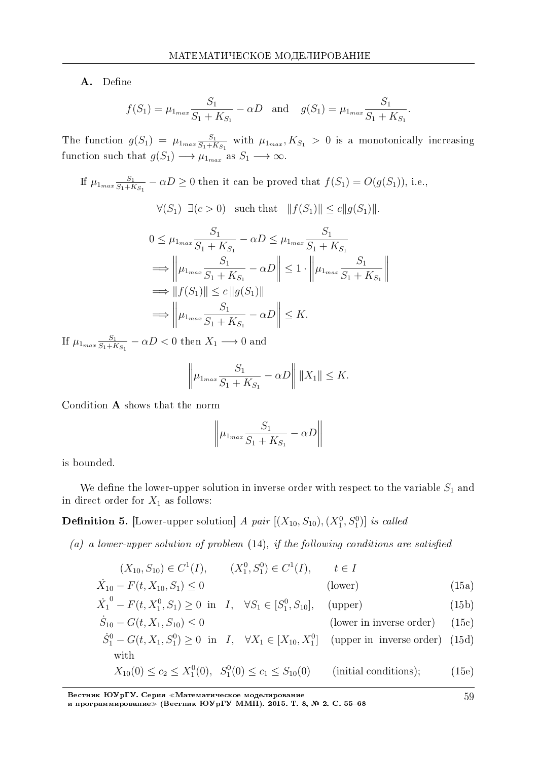A. Define

$$
f(S_1) = \mu_{1_{max}} \frac{S_1}{S_1 + K_{S_1}} - \alpha D
$$
 and  $g(S_1) = \mu_{1_{max}} \frac{S_1}{S_1 + K_{S_1}}$ .

The function  $g(S_1) = \mu_{1_{max}} \frac{S_1}{S_1 + F}$  $\frac{S_1}{S_1+K_{S_1}}$  with  $\mu_{1_{max}}, K_{S_1} > 0$  is a monotonically increasing function such that  $g(S_1) \longrightarrow \mu_{1_{max}}$  as  $S_1 \longrightarrow \infty$ .

If 
$$
\mu_{1_{max}} \frac{S_1}{S_1 + K_{S_1}} - \alpha D \ge 0
$$
 then it can be proved that  $f(S_1) = O(g(S_1))$ , i.e.,  
\n $\forall (S_1) \exists (c > 0)$  such that  $||f(S_1)|| \le c||g(S_1)||$ .  
\n $0 \le \mu_{1_{max}} \frac{S_1}{S_1 + K_{S_1}} - \alpha D \le \mu_{1_{max}} \frac{S_1}{S_1 + K_{S_1}}$   
\n $\implies ||\mu_{1_{max}} \frac{S_1}{S_1 + K_{S_1}} - \alpha D|| \le 1 \cdot ||\mu_{1_{max}} \frac{S_1}{S_1 + K_{S_1}}||$   
\n $\implies ||f(S_1)|| \le c ||g(S_1)||$   
\n $\implies ||\mu_{1_{max}} \frac{S_1}{S_1 + K_{S_1}} - \alpha D|| \le K$ .

If  $\mu_{1_{max}} \frac{S_1}{S_1 + F}$  $\frac{S_1}{S_1+K_{S_1}} - \alpha D < 0$  then  $X_1 \longrightarrow 0$  and

$$
\left\| \mu_{1_{max}} \frac{S_1}{S_1 + K_{S_1}} - \alpha D \right\| \|X_1\| \le K.
$$

Condition A shows that the norm

$$
\left\|\mu_{1_{max}}\frac{S_1}{S_1+K_{S_1}} - \alpha D\right\|
$$

is bounded.

We define the lower-upper solution in inverse order with respect to the variable  $S_1$  and in direct order for  $X_1$  as follows:

**Definition 5.** [Lower-upper solution] A pair  $[(X_{10}, S_{10}), (X_1^0, S_1^0)]$  is called

(a) a lower-upper solution of problem  $(14)$ , if the following conditions are satisfied

| $(X_{10}, S_{10}) \in C^1(I),$      | $(X_1^0, S_1^0) \in C^1(I), \quad t \in I$ |         |       |
|-------------------------------------|--------------------------------------------|---------|-------|
| $X_{10} - F(t, X_{10}, S_1) \leq 0$ |                                            | (lower) | (15a) |

$$
\dot{X}_1^0 - F(t, X_1^0, S_1) \ge 0 \text{ in } I, \quad \forall S_1 \in [S_1^0, S_{10}], \quad \text{(upper)} \tag{15b}
$$

 $\dot{S}_{10} - G(t, X_1, S_{10}) \le 0$  (lower in inverse order) (15c)

$$
\dot{S}_1^0 - G(t, X_1, S_1^0) \ge 0 \quad \text{in} \quad I, \quad \forall X_1 \in [X_{10}, X_1^0] \quad \text{(upper in inverse order)} \quad (15d)
$$
\nwith

$$
X_{10}(0) \le c_2 \le X_1^0(0), \ S_1^0(0) \le c_1 \le S_{10}(0) \quad \text{(initial conditions)};
$$
 (15e)

Вестник ЮУрГУ. Серия «Математическое моделирование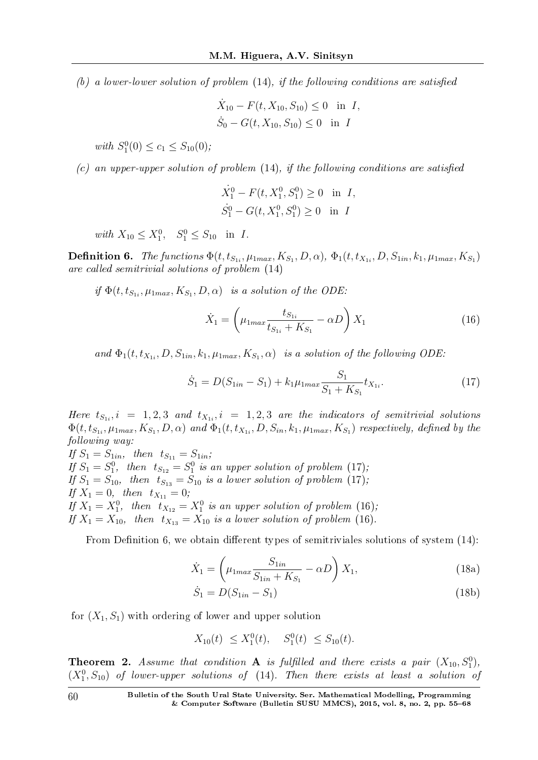(b) a lower-lower solution of problem  $(14)$ , if the following conditions are satisfied

$$
\dot{X}_{10} - F(t, X_{10}, S_{10}) \le 0 \text{ in } I,
$$
  

$$
\dot{S}_0 - G(t, X_{10}, S_{10}) \le 0 \text{ in } I
$$

 $with S_1^0(0) \le c_1 \le S_{10}(0);$ 

 $(c)$  an upper-upper solution of problem  $(14)$ , if the following conditions are satisfied

$$
\dot{X}_1^0 - F(t, X_1^0, S_1^0) \ge 0 \text{ in } I,
$$
  

$$
\dot{S}_1^0 - G(t, X_1^0, S_1^0) \ge 0 \text{ in } I
$$

 $with X_{10} \le X_1^0, S_1^0 \le S_{10} \text{ in } I.$ 

**Definition 6.** The functions  $\Phi(t, t_{S_{1i}}, \mu_{1max}, K_{S_1}, D, \alpha)$ ,  $\Phi_1(t, t_{X_{1i}}, D, S_{1in}, k_1, \mu_{1max}, K_{S_1})$ are called semitrivial solutions of problem (14)

if  $\Phi(t, t_{S_{1i}}, \mu_{1max}, K_{S_1}, D, \alpha)$  is a solution of the ODE:

$$
\dot{X}_1 = \left(\mu_{1max} \frac{t_{S_{1i}}}{t_{S_{1i}} + K_{S_1}} - \alpha D\right) X_1
$$
\n(16)

and  $\Phi_1(t, t_{X_{1i}}, D, S_{1in}, k_1, \mu_{1max}, K_{S_1}, \alpha)$  is a solution of the following ODE:

$$
\dot{S}_1 = D(S_{1in} - S_1) + k_1 \mu_{1max} \frac{S_1}{S_1 + K_{S_1}} t_{X_{1i}}.
$$
\n(17)

Here  $t_{S_{1i}}$ ,  $i = 1, 2, 3$  and  $t_{X_{1i}}$ ,  $i = 1, 2, 3$  are the indicators of semitrivial solutions  $\Phi(t,t_{S_{1i}},\mu_{1max},K_{S_1},D,\alpha)$  and  $\Phi_1(t,t_{X_{1i}},D,S_{in},k_1,\mu_{1max},K_{S_1})$  respectively, defined by the following way: If  $S_1 = S_{1in}$ , then  $t_{S_{11}} = S_{1in}$ ;

If  $S_1 = S_1^0$ , then  $t_{S_{12}} = S_1^0$  is an upper solution of problem (17); If  $S_1 = S_{10}$ , then  $t_{S_{13}} = S_{10}$  is a lower solution of problem (17); If  $X_1 = 0$ , then  $t_{X_{11}} = 0$ ; If  $X_1 = X_1^0$ , then  $t_{X_{12}} = X_1^0$  is an upper solution of problem (16); If  $X_1 = X_{10}$ , then  $t_{X_{13}} = X_{10}$  is a lower solution of problem (16).

From Definition 6, we obtain different types of semitriviales solutions of system  $(14)$ :

$$
\dot{X}_1 = \left(\mu_{1max} \frac{S_{1in}}{S_{1in} + K_{S_1}} - \alpha D\right) X_1,
$$
\n(18a)

$$
\dot{S}_1 = D(S_{1in} - S_1) \tag{18b}
$$

for  $(X_1, S_1)$  with ordering of lower and upper solution

$$
X_{10}(t) \le X_1^0(t), \quad S_1^0(t) \le S_{10}(t).
$$

**Theorem 2.** Assume that condition  $A$  is fulfilled and there exists a pair  $(X_{10}, S_1^0)$ ,  $(X_1^0, S_{10})$  of lower-upper solutions of  $(14)$ . Then there exists at least a solution of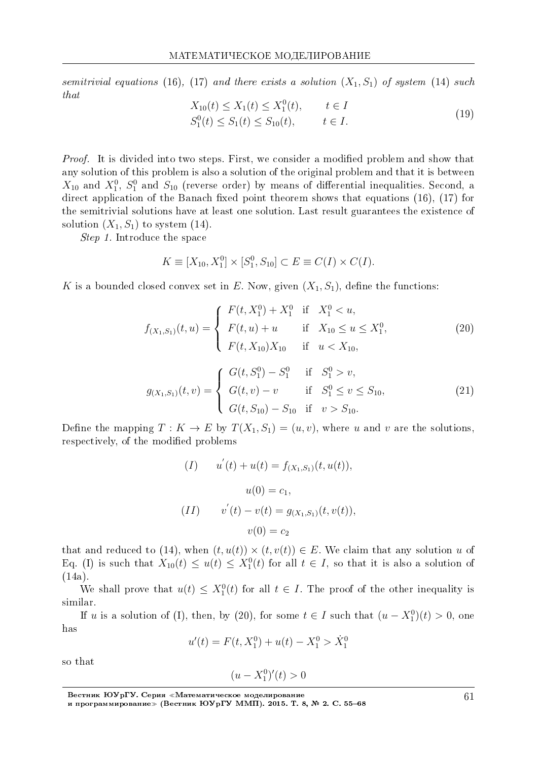semitrivial equations (16), (17) and there exists a solution  $(X_1, S_1)$  of system (14) such that

$$
X_{10}(t) \le X_1(t) \le X_1^0(t), \qquad t \in I
$$
  
\n
$$
S_1^0(t) \le S_1(t) \le S_{10}(t), \qquad t \in I.
$$
\n(19)

*Proof.* It is divided into two steps. First, we consider a modified problem and show that any solution of this problem is also a solution of the original problem and that it is between  $X_{10}$  and  $X_1^0$ ,  $S_1^0$  and  $S_{10}$  (reverse order) by means of differential inequalities. Second, a direct application of the Banach fixed point theorem shows that equations  $(16)$ ,  $(17)$  for the semitrivial solutions have at least one solution. Last result guarantees the existence of solution  $(X_1, S_1)$  to system  $(14)$ .

Step 1. Introduce the space

$$
K \equiv [X_{10}, X_1^0] \times [S_1^0, S_{10}] \subset E \equiv C(I) \times C(I).
$$

K is a bounded closed convex set in  $E$ . Now, given  $(X_1, S_1)$ , define the functions:

$$
f_{(X_1,S_1)}(t,u) = \begin{cases} F(t,X_1^0) + X_1^0 & \text{if } X_1^0 < u, \\ F(t,u) + u & \text{if } X_{10} \le u \le X_1^0, \\ F(t,X_{10})X_{10} & \text{if } u < X_{10}, \end{cases}
$$
(20)  

$$
\left\{ G(t,S_1^0) - S_1^0 & \text{if } S_1^0 > v, \right\}
$$

$$
g_{(X_1,S_1)}(t,v) = \begin{cases} G(t,v) - v & \text{if } S_1^0 \le v \le S_{10}, \\ G(t,S_{10}) - S_{10} & \text{if } v > S_{10}. \end{cases}
$$
 (21)

Define the mapping  $T: K \to E$  by  $T(X_1, S_1) = (u, v)$ , where *u* and *v* are the solutions. respectively, of the modified problems

$$
(I) \t u'(t) + u(t) = f_{(X_1, S_1)}(t, u(t)),
$$
  

$$
u(0) = c_1,
$$
  

$$
(II) \t v'(t) - v(t) = g_{(X_1, S_1)}(t, v(t)),
$$
  

$$
v(0) = c_2
$$

that and reduced to (14), when  $(t, u(t)) \times (t, v(t)) \in E$ . We claim that any solution *u* of Eq. (I) is such that  $X_{10}(t) \le u(t) \le X_1^0(t)$  for all  $t \in I$ , so that it is also a solution of (14a).

We shall prove that  $u(t) \leq X_1^0(t)$  for all  $t \in I$ . The proof of the other inequality is similar.

If *u* is a solution of (I), then, by (20), for some  $t \in I$  such that  $(u - X_1^0)(t) > 0$ , one has

 $u'(t) = F(t, X_1^0) + u(t) - X_1^0 > \dot{X}_1^0$ 

so that

$$
(u - X_1^0)'(t) > 0
$$

Вестник ЮУрГУ. Серия «Математическое моделирование и программирование≫ (Вестник ЮУрГУ ММП). 2015. T. 8, № 2. C. 55–68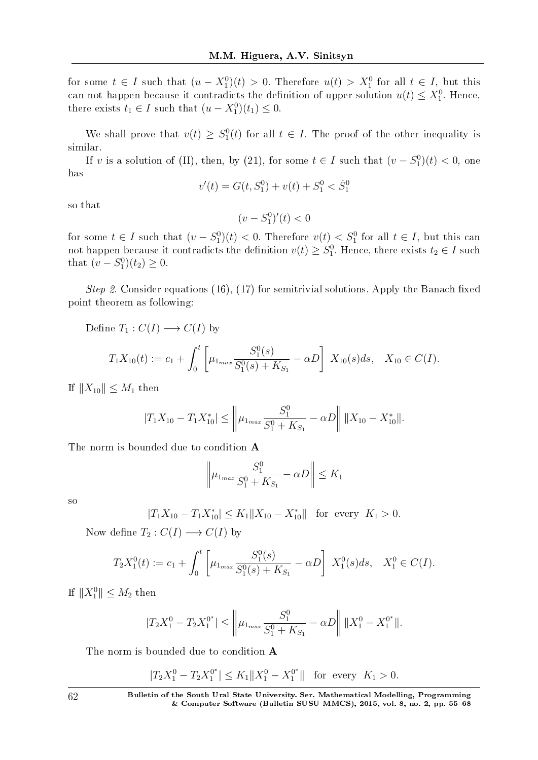for some  $t \in I$  such that  $(u - X_1^0)(t) > 0$ . Therefore  $u(t) > X_1^0$  for all  $t \in I$ , but this can not happen because it contradicts the definition of upper solution  $u(t) \leq X_1^0$ . Hence, there exists  $t_1 \in I$  such that  $(u - X_1^0)(t_1) \leq 0$ .

We shall prove that  $v(t) \geq S_1^0(t)$  for all  $t \in I$ . The proof of the other inequality is similar.

If *v* is a solution of (II), then, by (21), for some  $t \in I$  such that  $(v - S_1^0)(t) < 0$ , one has

$$
v'(t) = G(t, S_1^0) + v(t) + S_1^0 < \dot{S}_1^0
$$

so that

$$
(v - S_1^0)'(t) < 0
$$

for some  $t \in I$  such that  $(v - S_1^0)(t) < 0$ . Therefore  $v(t) < S_1^0$  for all  $t \in I$ , but this can not happen because it contradicts the definition  $v(t) \geq S_1^0$ . Hence, there exists  $t_2 \in I$  such that  $(v - S_1^0)(t_2) \geq 0$ .

Step 2. Consider equations (16), (17) for semitrivial solutions. Apply the Banach fixed point theorem as following:

Define 
$$
T_1 : C(I) \longrightarrow C(I)
$$
 by  
\n
$$
T_1 X_{10}(t) := c_1 + \int_0^t \left[ \mu_{1_{max}} \frac{S_1^0(s)}{S_1^0(s) + K_{S_1}} - \alpha D \right] X_{10}(s) ds, \quad X_{10} \in C(I).
$$

 $If$   $||X_{10}||$  ≤  $M_1$  then

$$
|T_1X_{10} - T_1X_{10}^*| \le \left\|\mu_{1_{max}} \frac{S_1^0}{S_1^0 + K_{S_1}} - \alpha D\right\| \|X_{10} - X_{10}^*\|.
$$

The norm is bounded due to condition A

$$
\left\|\mu_{1_{max}}\frac{S_1^0}{S_1^0+K_{S_1}} - \alpha D\right\| \le K_1
$$

so

$$
|T_1X_{10} - T_1X_{10}^*| \le K_1 \|X_{10} - X_{10}^*\| \text{ for every } K_1 > 0.
$$

Now define  $T_2: C(I) \longrightarrow C(I)$  by

$$
T_2X_1^0(t) := c_1 + \int_0^t \left[ \mu_{1_{max}} \frac{S_1^0(s)}{S_1^0(s) + K_{S_1}} - \alpha D \right] X_1^0(s) ds, \quad X_1^0 \in C(I).
$$

If  $||X_1^0||$  ≤  $M_2$  then

$$
|T_2X_1^0 - T_2X_1^{0^*}| \le \left\|\mu_{1_{max}} \frac{S_1^0}{S_1^0 + K_{S_1}} - \alpha D\right\| \|X_1^0 - X_1^{0^*}\|.
$$

The norm is bounded due to condition A

$$
|T_2X_1^0 - T_2X_1^{0*}| \le K_1 \|X_1^0 - X_1^{0*}\| \text{ for every } K_1 > 0.
$$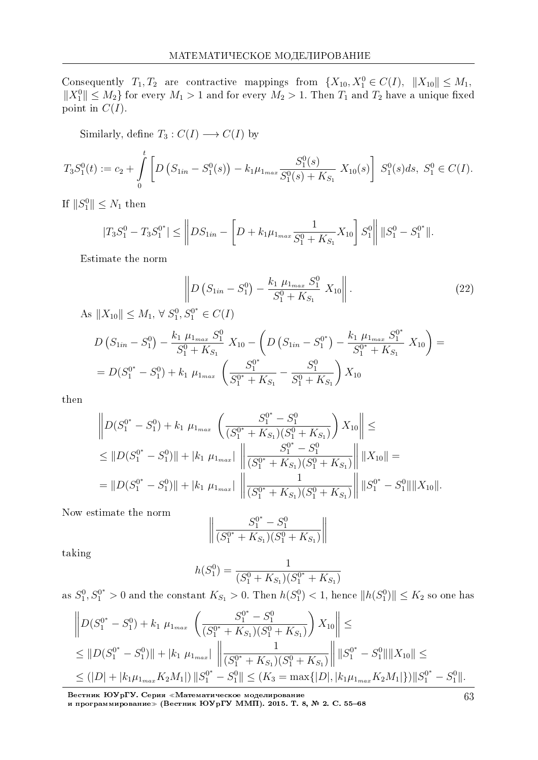Consequently  $T_1, T_2$  are contractive mappings from  $\{X_{10}, X_1^0 \in C(I), \|X_{10}\| \leq M_1,$ *∥X*<sup>0</sup><sup>*Ⅱ*</sup> $\leq$  *M*<sub>2</sub> $>$ **f** for every *M*<sub>1</sub>  $>$  1 and for every *M*<sub>2</sub>  $>$  1. Then *T*<sub>1</sub> and *T*<sub>2</sub> have a unique fixed point in  $C(I)$ .

Similarly, define  $T_3: C(I) \longrightarrow C(I)$  by

$$
T_3S_1^0(t) := c_2 + \int_0^t \left[ D\left( S_{1in} - S_1^0(s) \right) - k_1 \mu_{1max} \frac{S_1^0(s)}{S_1^0(s) + K_{S_1}} X_{10}(s) \right] S_1^0(s) ds, S_1^0 \in C(I).
$$

If  $||S_1^0||$  ≤  $N_1$  then

$$
|T_3S_1^0 - T_3S_1^{0^*}| \leq \left\| DS_{1in} - \left[ D + k_1 \mu_{1max} \frac{1}{S_1^0 + K_{S_1}} X_{10} \right] S_1^0 \right\| \|S_1^0 - S_1^{0^*}\|.
$$

Estimate the norm

$$
\left\| D \left( S_{1in} - S_1^0 \right) - \frac{k_1 \mu_{1max} S_1^0}{S_1^0 + K_{S_1}} X_{10} \right\|.
$$
\n
$$
\text{As } \|X_{10}\| \le M_1, \forall S_1^0, S_1^{0*} \in C(I)
$$
\n
$$
(22)
$$

$$
D\left(S_{1in} - S_1^0\right) - \frac{k_1 \mu_{1max} S_1^0}{S_1^0 + K_{S_1}} X_{10} - \left(D\left(S_{1in} - S_1^{0^*}\right) - \frac{k_1 \mu_{1max} S_1^{0^*}}{S_1^{0^*} + K_{S_1}} X_{10}\right) =
$$
  
= 
$$
D(S_1^{0^*} - S_1^0) + k_1 \mu_{1max} \left(\frac{S_1^{0^*}}{S_1^{0^*} + K_{S_1}} - \frac{S_1^0}{S_1^0 + K_{S_1}}\right) X_{10}
$$

then

$$
\left\| D(S_1^{0^*} - S_1^0) + k_1 \mu_{1_{max}} \left( \frac{S_1^{0^*} - S_1^0}{(S_1^{0^*} + K_{S_1})(S_1^0 + K_{S_1})} \right) X_{10} \right\| \le
$$
  
\n
$$
\leq \| D(S_1^{0^*} - S_1^0) \| + |k_1 \mu_{1_{max}}| \left\| \frac{S_1^{0^*} - S_1^0}{(S_1^{0^*} + K_{S_1})(S_1^0 + K_{S_1})} \right\| \|X_{10}\| =
$$
  
\n
$$
= \| D(S_1^{0^*} - S_1^0) \| + |k_1 \mu_{1_{max}}| \left\| \frac{1}{(S_1^{0^*} + K_{S_1})(S_1^0 + K_{S_1})} \right\| \|S_1^{0^*} - S_1^0\| \|X_{10}\|.
$$

Now estimate the norm

$$
\left\|\frac{S_1^{0^*} - S_1^0}{(S_1^{0^*} + K_{S_1})(S_1^0 + K_{S_1})}\right\|
$$

taking

$$
h(S_1^0) = \frac{1}{(S_1^0 + K_{S_1})(S_1^{0*} + K_{S_1})}
$$

as  $S_1^0, S_1^{0*} > 0$  and the constant  $K_{S_1} > 0$ . Then  $h(S_1^0) < 1$ , hence  $||h(S_1^0)|| \le K_2$  so one has

$$
\|D(S_1^{0^*} - S_1^0) + k_1 \mu_{1_{max}} \left( \frac{S_1^{0^*} - S_1^0}{(S_1^{0^*} + K_{S_1})(S_1^0 + K_{S_1})} \right) X_{10} \le
$$
  
\n
$$
\leq \|D(S_1^{0^*} - S_1^0)\| + |k_1 \mu_{1_{max}}| \left\| \frac{1}{(S_1^{0^*} + K_{S_1})(S_1^0 + K_{S_1})} \right\| \|S_1^{0^*} - S_1^0\| \|X_{10}\| \le
$$
  
\n
$$
\leq (|D| + |k_1 \mu_{1_{max}} K_2 M_1|) \|S_1^{0^*} - S_1^0\| \leq (K_3 = \max\{|D|, |k_1 \mu_{1_{max}} K_2 M_1|\}) \|S_1^{0^*} - S_1^0\|.
$$

Вестник ЮУрГУ. Серия «Математическое моделирование и программирование≫ (Вестник ЮУрГУ ММП). 2015. T. 8, № 2. C. 55–68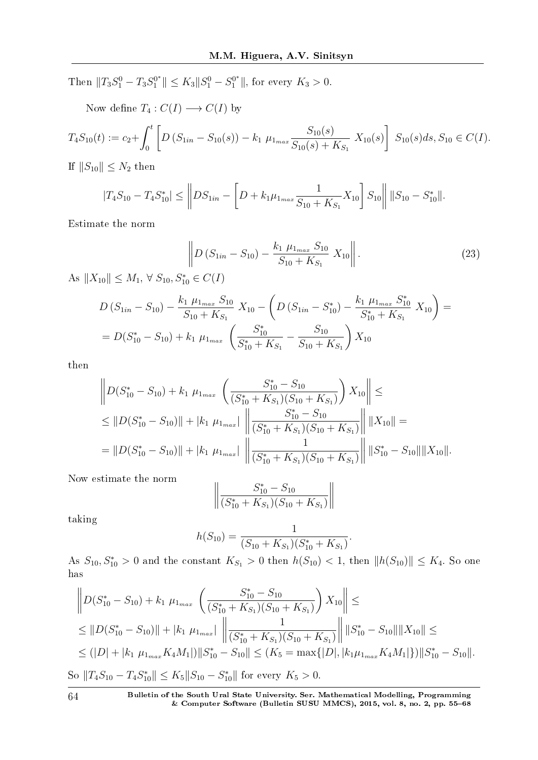Then  $||T_3S_1^0 - T_3S_1^{0^*}|| \le K_3||S_1^0 - S_1^{0^*}||$ , for every  $K_3 > 0$ .

Now define  $T_4: C(I) \longrightarrow C(I)$  by

$$
T_4S_{10}(t) := c_2 + \int_0^t \left[ D\left(S_{1in} - S_{10}(s)\right) - k_1 \mu_{1max} \frac{S_{10}(s)}{S_{10}(s) + K_{S_1}} X_{10}(s) \right] S_{10}(s) ds, S_{10} \in C(I).
$$

If  $||S_{10}||$  ≤  $N_2$  then

$$
|T_4S_{10} - T_4S_{10}^*| \leq \left\| DS_{1in} - \left[ D + k_1 \mu_{1max} \frac{1}{S_{10} + K_{S_1}} X_{10} \right] S_{10} \right\| \|S_{10} - S_{10}^* \|.
$$

Estimate the norm

$$
\left\| D \left( S_{1in} - S_{10} \right) - \frac{k_1 \mu_{1max} S_{10}}{S_{10} + K_{S_1}} X_{10} \right\|.
$$
 (23)

 $A$ s  $||X_{10}|| \leq M_1$ , ∀  $S_{10}$ ,  $S_{10}^* \in C(I)$ 

$$
D\left(S_{1in} - S_{10}\right) - \frac{k_1 \mu_{1max} S_{10}}{S_{10} + K_{S_1}} X_{10} - \left(D\left(S_{1in} - S_{10}^*\right) - \frac{k_1 \mu_{1max} S_{10}^*}{S_{10}^* + K_{S_1}} X_{10}\right) =
$$
  
= 
$$
D(S_{10}^* - S_{10}) + k_1 \mu_{1max} \left(\frac{S_{10}^*}{S_{10}^* + K_{S_1}} - \frac{S_{10}}{S_{10} + K_{S_1}}\right) X_{10}
$$

then

$$
\left\| D(S_{10}^* - S_{10}) + k_1 \mu_{1_{max}} \left( \frac{S_{10}^* - S_{10}}{(S_{10}^* + K_{S_1})(S_{10} + K_{S_1})} \right) X_{10} \right\| \le
$$
  
\n
$$
\leq \| D(S_{10}^* - S_{10}) \| + |k_1 \mu_{1_{max}}| \left\| \frac{S_{10}^* - S_{10}}{(S_{10}^* + K_{S_1})(S_{10} + K_{S_1})} \right\| \|X_{10}\| =
$$
  
\n
$$
= \| D(S_{10}^* - S_{10}) \| + |k_1 \mu_{1_{max}}| \left\| \frac{1}{(S_{10}^* + K_{S_1})(S_{10} + K_{S_1})} \right\| \|S_{10}^* - S_{10}\| \|X_{10}\|.
$$

Now estimate the norm

$$
\left\| \frac{S_{10}^* - S_{10}}{(S_{10}^* + K_{S_1})(S_{10} + K_{S_1})} \right\|
$$

taking

$$
h(S_{10}) = \frac{1}{(S_{10} + K_{S_1})(S_{10}^* + K_{S_1})}.
$$

 $\text{As } S_{10}, S_{10}^* > 0 \text{ and the constant } K_{S_1} > 0 \text{ then } h(S_{10}) < 1, \text{ then } ||h(S_{10})|| \leq K_4. \text{ So one}$ has

$$
\left\| D(S_{10}^* - S_{10}) + k_1 \mu_{1_{max}} \left( \frac{S_{10}^* - S_{10}}{(S_{10}^* + K_{S_1})(S_{10} + K_{S_1})} \right) X_{10} \right\| \le
$$
  
\n
$$
\leq \| D(S_{10}^* - S_{10}) \| + |k_1 \mu_{1_{max}}| \left\| \frac{1}{(S_{10}^* + K_{S_1})(S_{10} + K_{S_1})} \right\| \| S_{10}^* - S_{10} \| \| X_{10} \| \le
$$
  
\n
$$
\leq (|D| + |k_1 \mu_{1_{max}} K_4 M_1|) \| S_{10}^* - S_{10} \| \leq (K_5 = \max\{|D|, |k_1 \mu_{1_{max}} K_4 M_1|\}) \| S_{10}^* - S_{10} \|.
$$
  
\nSo  $||T_4 S_{10} - T_4 S_{10}^* || \leq K_5 \| S_{10} - S_{10}^* \|$  for every  $K_5 > 0$ .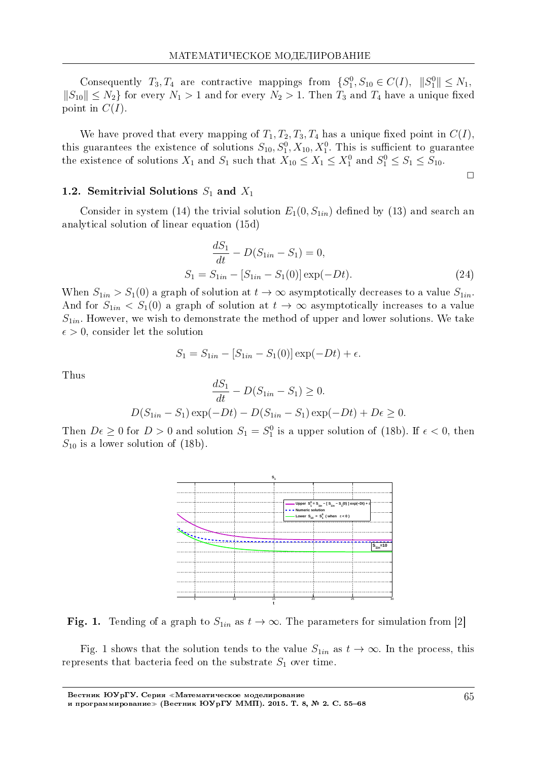Consequently  $T_3, T_4$  are contractive mappings from  $\{S_1^0, S_{10} \in C(I), \|S_1^0\| \leq N_1,$ *∥S*<sub>10</sub> $\parallel$  ≤ *N*<sub>2</sub>} for every *N*<sub>1</sub> > 1 and for every *N*<sub>2</sub> > 1. Then *T*<sub>3</sub> and *T*<sub>4</sub> have a unique fixed point in  $C(I)$ .

We have proved that every mapping of  $T_1, T_2, T_3, T_4$  has a unique fixed point in  $C(I)$ . this guarantees the existence of solutions  $S_{10}$ ,  $S_1^0$ ,  $X_{10}$ ,  $X_1^0$ . This is sufficient to guarantee the existence of solutions  $X_1$  and  $S_1$  such that  $X_{10} \leq X_1 \leq X_1^0$  and  $S_1^0 \leq S_1 \leq S_{10}$ .

 $\Box$ 

#### 1.2. Semitrivial Solutions *S*<sup>1</sup> and *X*<sup>1</sup>

Consider in system (14) the trivial solution  $E_1(0, S_{1in})$  defined by (13) and search an analytical solution of linear equation (15d)

$$
\frac{dS_1}{dt} - D(S_{1in} - S_1) = 0,
$$
  
\n
$$
S_1 = S_{1in} - [S_{1in} - S_1(0)] \exp(-Dt).
$$
\n(24)

When  $S_{1in} > S_1(0)$  a graph of solution at  $t \to \infty$  asymptotically decreases to a value  $S_{1in}$ . And for  $S_{1in} < S_1(0)$  a graph of solution at  $t \to \infty$  asymptotically increases to a value *S*1*in*. However, we wish to demonstrate the method of upper and lower solutions. We take  $\epsilon > 0$ , consider let the solution

$$
S_1 = S_{1in} - [S_{1in} - S_1(0)] \exp(-Dt) + \epsilon.
$$

Thus

$$
\frac{dS_1}{dt} - D(S_{1in} - S_1) \ge 0.
$$
  

$$
D(S_{1in} - S_1) \exp(-Dt) - D(S_{1in} - S_1) \exp(-Dt) + D\epsilon \ge 0.
$$

Then  $D\epsilon \geq 0$  for  $D > 0$  and solution  $S_1 = S_1^0$  is a upper solution of (18b). If  $\epsilon < 0$ , then  $S_{10}$  is a lower solution of  $(18b)$ .



Fig. 1. Tending of a graph to  $S_{1in}$  as  $t \to \infty$ . The parameters for simulation from [2]

Fig. 1 shows that the solution tends to the value  $S_{1in}$  as  $t \to \infty$ . In the process, this represents that bacteria feed on the substrate  $S_1$  over time.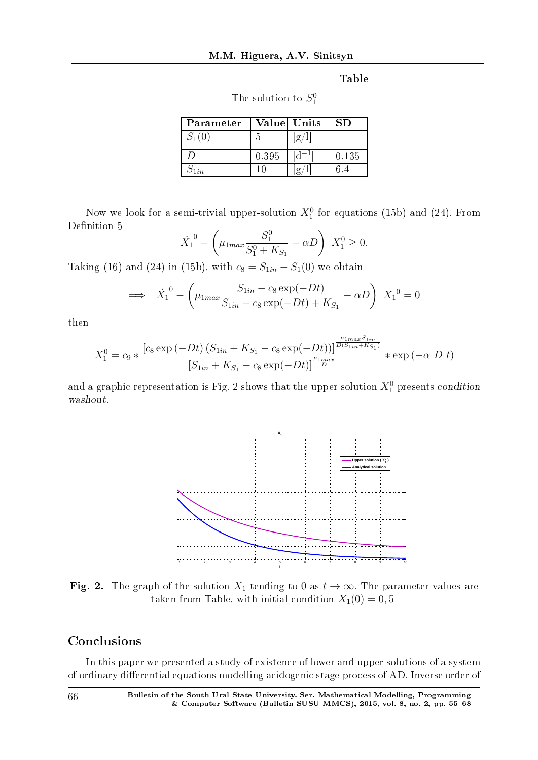Table

| The solution to $S_1^0$ |
|-------------------------|
|                         |

| Parameter |       | Value Units | SD    |
|-----------|-------|-------------|-------|
| $S_1(0)$  | h     | $\sigma$ .  |       |
|           | 0,395 |             | 0,135 |
|           |       |             |       |

Now we look for a semi-trivial upper-solution  $X_1^0$  for equations (15b) and (24). From Definition 5

$$
\dot{X}_1^0 - \left(\mu_{1max} \frac{S_1^0}{S_1^0 + K_{S_1}} - \alpha D\right) X_1^0 \ge 0.
$$

Taking (16) and (24) in (15b), with  $c_8 = S_{1in} - S_1(0)$  we obtain

$$
\implies \dot{X}_1^0 - \left(\mu_{1max} \frac{S_{1in} - c_8 \exp(-Dt)}{S_{1in} - c_8 \exp(-Dt) + K_{S_1}} - \alpha D\right) X_1^0 = 0
$$

then

$$
X_1^0 = c_9 * \frac{\left[c_8 \exp\left(-Dt\right) \left(S_{1in} + K_{S_1} - c_8 \exp\left(-Dt\right)\right)\right]^{\frac{\mu_{1max} S_{1in}}{D(S_{1in} + K_{S_1})}}}{\left[S_{1in} + K_{S_1} - c_8 \exp\left(-Dt\right)\right]^{\frac{\mu_{1max} S_{1in}}{D}}} * \exp\left(-\alpha \ D \ t\right)
$$

and a graphic representation is Fig. 2 shows that the upper solution  $X_1^0$  presents condition washout.



Fig. 2. The graph of the solution  $X_1$  tending to 0 as  $t \to \infty$ . The parameter values are taken from Table, with initial condition  $X_1(0) = 0, 5$ 

# Conclusions

In this paper we presented a study of existence of lower and upper solutions of a system of ordinary differential equations modelling acidogenic stage process of AD. Inverse order of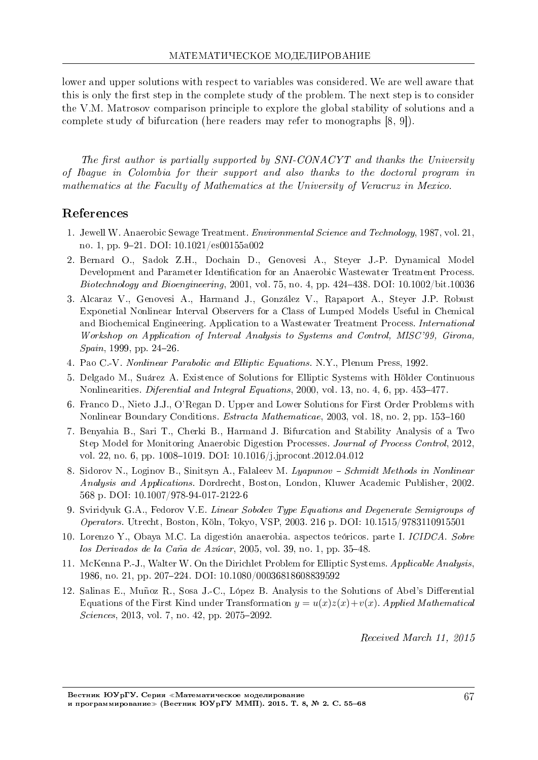lower and upper solutions with respect to variables was considered. We are well aware that this is only the first step in the complete study of the problem. The next step is to consider the V.M. Matrosov comparison principle to explore the global stability of solutions and a complete study of bifurcation (here readers may refer to monographs [8, 9]).

The first author is partially supported by  $SNI-CONACYT$  and thanks the University of Ibague in Colombia for their support and also thanks to the doctoral program in mathematics at the Faculty of Mathematics at the University of Veracruz in Mexico.

# References

- 1. Jewell W. Anaerobic Sewage Treatment. Environmental Science and Technology, 1987, vol. 21, no. 1, pp. 921. DOI: 10.1021/es00155a002
- 2. Bernard O., Sadok Z.H., Dochain D., Genovesi A., Steyer J.-P. Dynamical Model Development and Parameter Identification for an Anaerobic Wastewater Treatment Process. Biotechnology and Bioengineering, 2001, vol. 75, no. 4, pp.  $424-438$ . DOI:  $10.1002$ /bit.10036
- 3. Alcaraz V., Genovesi A., Harmand J., Gonzalez V., Rapaport A., Steyer J.P. Robust Exponetial Nonlinear Interval Observers for a Class of Lumped Models Useful in Chemical and Biochemical Engineering. Application to a Wastewater Treatment Process. International Workshop on Application of Interval Analysis to Systems and Control, MISC'99, Girona,  $Spann$ , 1999, pp. 24-26.
- 4. Pao C.-V. Nonlinear Parabolic and Elliptic Equations. N.Y., Plenum Press, 1992.
- 5. Delgado M., Suarez A. Existence of Solutions for Elliptic Systems with Holder Continuous Nonlinearities. Diferential and Integral Equations, 2000, vol. 13, no. 4, 6, pp. 453-477.
- 6. Franco D., Nieto J.J., O'Regan D. Upper and Lower Solutions for First Order Problems with Nonlinear Boundary Conditions. *Estracta Mathematicae*, 2003, vol. 18, no. 2, pp. 153-160
- 7. Benyahia B., Sari T., Cherki B., Harmand J. Bifurcation and Stability Analysis of a Two Step Model for Monitoring Anaerobic Digestion Processes. Journal of Process Control, 2012, vol. 22, no. 6, pp. 1008–1019. DOI:  $10.1016/j.jprocont.2012.04.012$
- 8. Sidorov N., Loginov B., Sinitsyn A., Falaleev M. Lyapunov Schmidt Methods in Nonlinear Analysis and Applications. Dordrecht, Boston, London, Kluwer Academic Publisher, 2002. 568 p. DOI: 10.1007/978-94-017-2122-6
- 9. Sviridyuk G.A., Fedorov V.E. Linear Sobolev Type Equations and Degenerate Semigroups of Operators. Utrecht, Boston, Koln, Tokyo, VSP, 2003. 216 p. DOI: 10.1515/9783110915501
- 10. Lorenzo Y., Obaya M.C. La digestion anaerobia. aspectos teoricos. parte I. ICIDCA. Sobre los Derivados de la Caña de Azúcar, 2005, vol. 39, no. 1, pp. 35-48.
- 11. McKenna P.-J., Walter W. On the Dirichlet Problem for Elliptic Systems. Applicable Analysis, 1986, no. 21, pp. 207224. DOI: 10.1080/00036818608839592
- 12. Salinas E., Muñoz R., Sosa J.-C., López B. Analysis to the Solutions of Abel's Differential Equations of the First Kind under Transformation  $y = u(x)z(x) + v(x)$ . Applied Mathematical Sciences, 2013, vol. 7, no. 42, pp. 2075-2092.

Received March 11, 2015